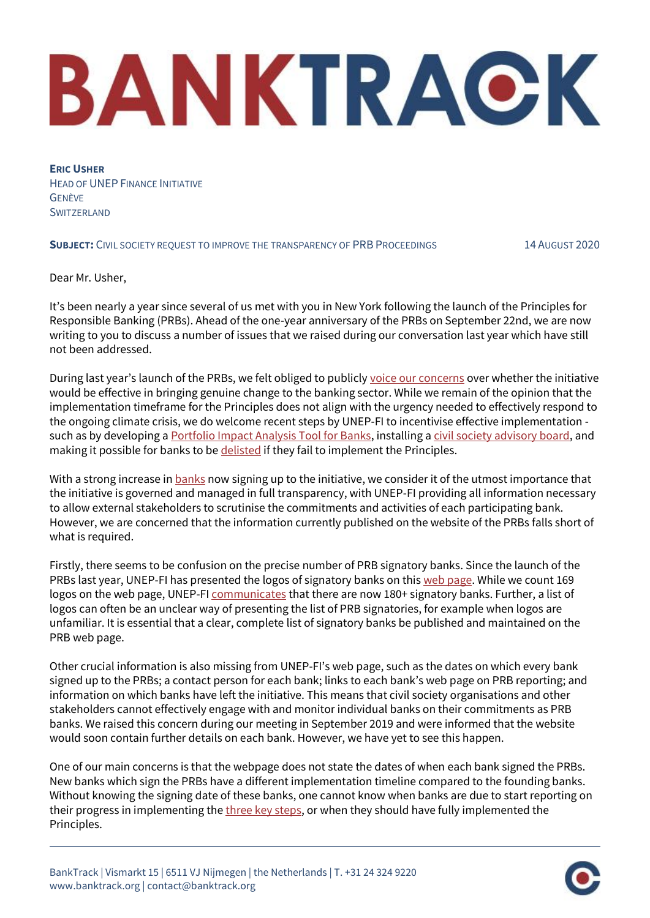## BANKTRACK

**ERIC USHER** HEAD OF UNEP FINANCE INITIATIVE GENÈVE **SWITZERLAND** 

## **SUBJECT:** CIVIL SOCIETY REQUEST TO IMPROVE THE TRANSPARENCY OF PRB PROCEEDINGS 14 AUGUST 2020

Dear Mr. Usher,

It's been nearly a year since several of us met with you in New York following the launch of the Principles for Responsible Banking (PRBs). Ahead of the one-year anniversary of the PRBs on September 22nd, we are now writing to you to discuss a number of issues that we raised during our conversation last year which have still not been addressed.

During last year's launch of the PRBs, we felt obliged to publicly [voice our concerns](https://www.banktrack.org/download/civil_society_statement_on_the_new_principles_for_responsible_banking/joint_statement_principles_for_responsible_banking_1.pdf) over whether the initiative would be effective in bringing genuine change to the banking sector. While we remain of the opinion that the implementation timeframe for the Principles does not align with the urgency needed to effectively respond to the ongoing climate crisis, we do welcome recent steps by UNEP-FI to incentivise effective implementation such as by developing [a Portfolio Impact Analysis Tool for Banks,](https://www.unepfi.org/publications/positive-impact-publications/portfolio-impact-tool-for-banks/) installing [a civil society advisory board,](https://www.unepfi.org/banking/bankingprinciples/accountability/) and making it possible for banks to b[e delisted](https://www.unepfi.org/wordpress/wp-content/uploads/2020/03/Draft-Banking-Governance-Framework_2403-1.pdf) if they fail to implement the Principles.

With a strong increase in **[banks](https://view.monday.com/400197278-7b74427693776c4d1b7e010214f3a1f0)** now signing up to the initiative, we consider it of the utmost importance that the initiative is governed and managed in full transparency, with UNEP-FI providing all information necessary to allow external stakeholders to scrutinise the commitments and activities of each participating bank. However, we are concerned that the information currently published on the website of the PRBs falls short of what is required.

Firstly, there seems to be confusion on the precise number of PRB signatory banks. Since the launch of the PRBs last year, UNEP-FI has presented the logos of signatory banks on this [web page.](https://www.unepfi.org/banking/bankingprinciples/signatories/) While we count 169 logos on the web page, UNEP-F[I communicates](https://www.unepfi.org/banking/bankingprinciples/signatories/) that there are now 180+ signatory banks. Further, a list of logos can often be an unclear way of presenting the list of PRB signatories, for example when logos are unfamiliar. It is essential that a clear, complete list of signatory banks be published and maintained on the PRB web page.

Other crucial information is also missing from UNEP-FI's web page, such as the dates on which every bank signed up to the PRBs; a contact person for each bank; links to each bank's web page on PRB reporting; and information on which banks have left the initiative. This means that civil society organisations and other stakeholders cannot effectively engage with and monitor individual banks on their commitments as PRB banks. We raised this concern during our meeting in September 2019 and were informed that the website would soon contain further details on each bank. However, we have yet to see this happen.

One of our main concerns is that the webpage does not state the dates of when each bank signed the PRBs. New banks which sign the PRBs have a different implementation timeline compared to the founding banks. Without knowing the signing date of these banks, one cannot know when banks are due to start reporting on their progress in implementing th[e three key steps,](https://www.unepfi.org/wordpress/wp-content/uploads/2019/07/Key-Steps-to-be-Implemented-by-Signatories.pdf) or when they should have fully implemented the Principles.

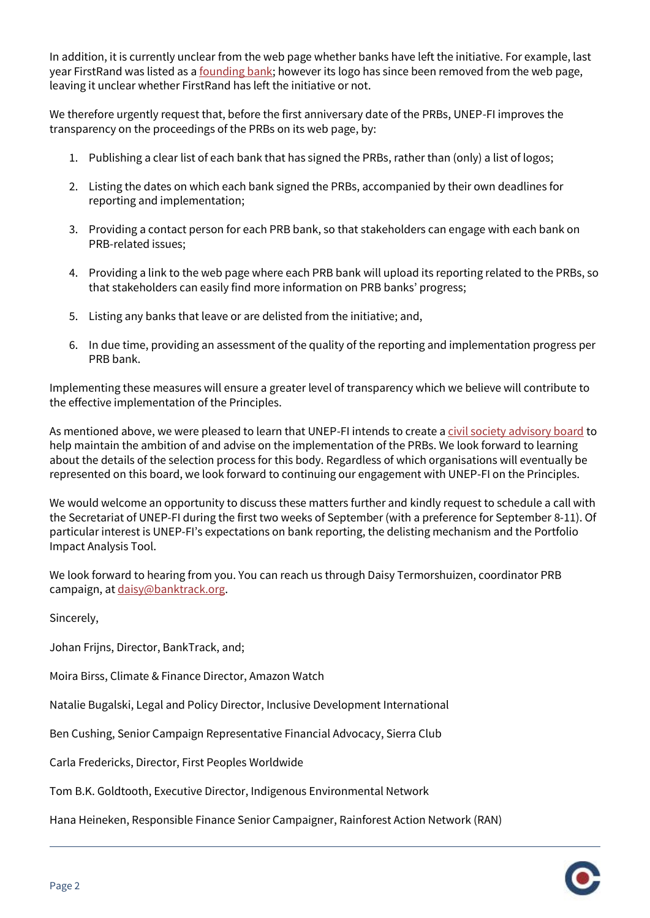In addition, it is currently unclear from the web page whether banks have left the initiative. For example, last year FirstRand was listed as [a founding bank;](https://www.unepfi.org/news/industries/banking/principles-for-responsible-banking-released/) however its logo has since been removed from the web page, leaving it unclear whether FirstRand has left the initiative or not.

We therefore urgently request that, before the first anniversary date of the PRBs, UNEP-FI improves the transparency on the proceedings of the PRBs on its web page, by:

- 1. Publishing a clear list of each bank that has signed the PRBs, rather than (only) a list of logos;
- 2. Listing the dates on which each bank signed the PRBs, accompanied by their own deadlines for reporting and implementation;
- 3. Providing a contact person for each PRB bank, so that stakeholders can engage with each bank on PRB-related issues;
- 4. Providing a link to the web page where each PRB bank will upload its reporting related to the PRBs, so that stakeholders can easily find more information on PRB banks' progress;
- 5. Listing any banks that leave or are delisted from the initiative; and,
- 6. In due time, providing an assessment of the quality of the reporting and implementation progress per PRB bank.

Implementing these measures will ensure a greater level of transparency which we believe will contribute to the effective implementation of the Principles.

As mentioned above, we were pleased to learn that UNEP-FI intends to create [a civil society advisory board](https://www.responsible-investor.com/articles/principles-for-responsible-banking-members-sign-off-on-delisting-mechanism) to help maintain the ambition of and advise on the implementation of the PRBs. We look forward to learning about the details of the selection process for this body. Regardless of which organisations will eventually be represented on this board, we look forward to continuing our engagement with UNEP-FI on the Principles.

We would welcome an opportunity to discuss these matters further and kindly request to schedule a call with the Secretariat of UNEP-FI during the first two weeks of September (with a preference for September 8-11). Of particular interest is UNEP-FI's expectations on bank reporting, the delisting mechanism and the Portfolio Impact Analysis Tool.

We look forward to hearing from you. You can reach us through Daisy Termorshuizen, coordinator PRB campaign, at [daisy@banktrack.org.](mailto:daisy@banktrack.org)

Sincerely,

Johan Frijns, Director, BankTrack, and;

Moira Birss, Climate & Finance Director, Amazon Watch

Natalie Bugalski, Legal and Policy Director, Inclusive Development International

Ben Cushing, Senior Campaign Representative Financial Advocacy, Sierra Club

Carla Fredericks, Director, First Peoples Worldwide

Tom B.K. Goldtooth, Executive Director, Indigenous Environmental Network

Hana Heineken, Responsible Finance Senior Campaigner, Rainforest Action Network (RAN)